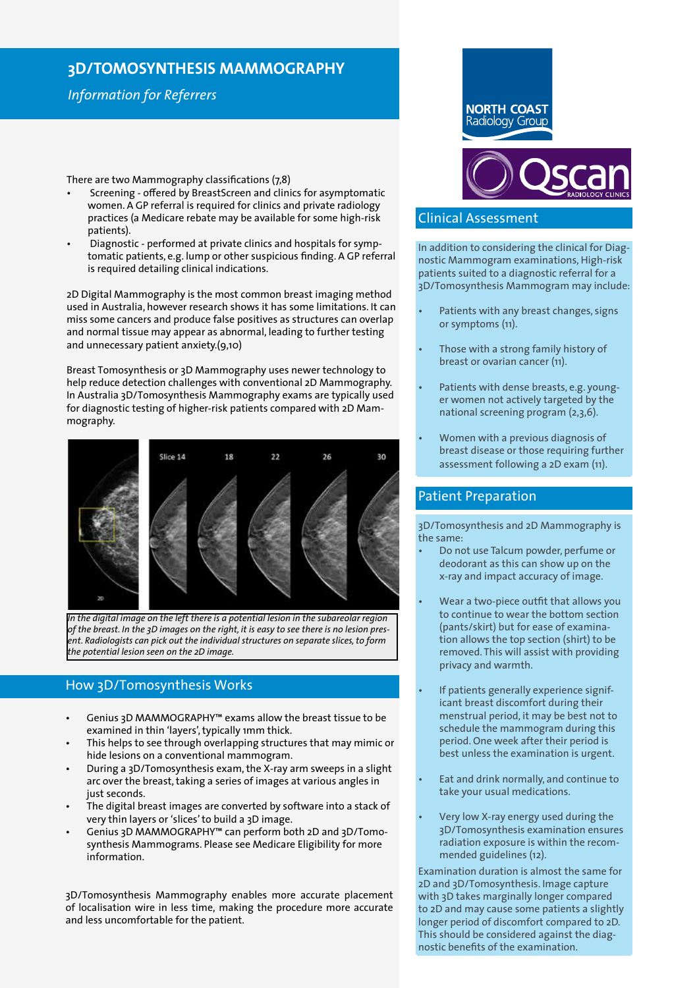# **3D/TOMOSYNTHESIS MAMMOGRAPHY**

## *Information for Referrers*

There are two Mammography classifications (7,8)

- Screening offered by BreastScreen and clinics for asymptomatic women. A GP referral is required for clinics and private radiology practices (a Medicare rebate may be available for some high-risk patients).
- Diagnostic performed at private clinics and hospitals for symptomatic patients, e.g. lump or other suspicious finding. A GP referral is required detailing clinical indications.

2D Digital Mammography is the most common breast imaging method used in Australia, however research shows it has some limitations. It can miss some cancers and produce false positives as structures can overlap and normal tissue may appear as abnormal, leading to further testing and unnecessary patient anxiety.(9,10)

Breast Tomosynthesis or 3D Mammography uses newer technology to help reduce detection challenges with conventional 2D Mammography. In Australia 3D/Tomosynthesis Mammography exams are typically used for diagnostic testing of higher-risk patients compared with 2D Mammography.



*In the digital image on the left there is a potential lesion in the subareolar region of the breast. In the 3D images on the right, it is easy to see there is no lesion present. Radiologists can pick out the individual structures on separate slices, to form the potential lesion seen on the 2D image.*

### How 3D/Tomosynthesis Works

- Genius 3D MAMMOGRAPHY™ exams allow the breast tissue to be examined in thin 'layers', typically 1mm thick.
- This helps to see through overlapping structures that may mimic or hide lesions on a conventional mammogram.
- During a 3D/Tomosynthesis exam, the X-ray arm sweeps in a slight arc over the breast, taking a series of images at various angles in just seconds.
- The digital breast images are converted by software into a stack of very thin layers or 'slices' to build a 3D image.
- Genius 3D MAMMOGRAPHY™ can perform both 2D and 3D/Tomosynthesis Mammograms. Please see Medicare Eligibility for more information.

3D/Tomosynthesis Mammography enables more accurate placement of localisation wire in less time, making the procedure more accurate and less uncomfortable for the patient.



### Clinical Assessment

In addition to considering the clinical for Diagnostic Mammogram examinations, High-risk patients suited to a diagnostic referral for a 3D/Tomosynthesis Mammogram may include:

- Patients with any breast changes, signs or symptoms (11).
- Those with a strong family history of breast or ovarian cancer (11).
- Patients with dense breasts, e.g. younger women not actively targeted by the national screening program (2,3,6).
- Women with a previous diagnosis of breast disease or those requiring further assessment following a 2D exam (11).

### Patient Preparation

3D/Tomosynthesis and 2D Mammography is the same:

- Do not use Talcum powder, perfume or deodorant as this can show up on the x-ray and impact accuracy of image.
- Wear a two-piece outfit that allows you to continue to wear the bottom section (pants/skirt) but for ease of examination allows the top section (shirt) to be removed. This will assist with providing privacy and warmth.
- If patients generally experience significant breast discomfort during their menstrual period, it may be best not to schedule the mammogram during this period. One week after their period is best unless the examination is urgent.
- Eat and drink normally, and continue to take your usual medications.
- Very low X-ray energy used during the 3D/Tomosynthesis examination ensures radiation exposure is within the recommended guidelines (12).

Examination duration is almost the same for 2D and 3D/Tomosynthesis. Image capture with 3D takes marginally longer compared to 2D and may cause some patients a slightly longer period of discomfort compared to 2D. This should be considered against the diagnostic benefits of the examination.